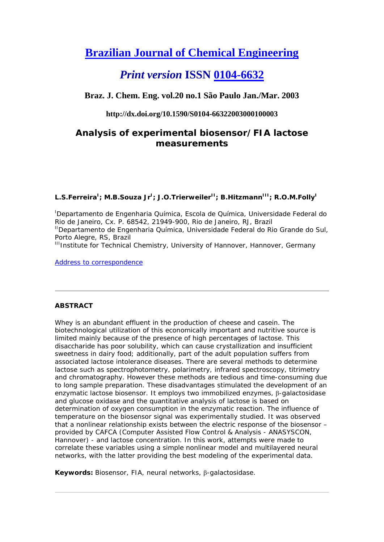# **Brazilian Journal of Chemical Engineering**

## *Print version* **ISSN 0104-6632**

**Braz. J. Chem. Eng. vol.20 no.1 São Paulo Jan./Mar. 2003** 

## **http://dx.doi.org/10.1590/S0104-66322003000100003**

## **Analysis of experimental biosensor/FIA lactose measurements**

## L.S.Ferreira<sup>I</sup>; M.B.Souza Jr<sup>I</sup>; J.O.Trierweiler<sup>II</sup>; B.Hitzmann<sup>III</sup>; R.O.M.Folly<sup>I</sup>

<sup>I</sup>Departamento de Engenharia Química, Escola de Química, Universidade Federal do Rio de Janeiro, Cx. P. 68542, 21949-900, Rio de Janeiro, RJ, Brazil <sup>II</sup>Departamento de Engenharia Química, Universidade Federal do Rio Grande do Sul, Porto Alegre, RS, Brazil

<sup>III</sup>Institute for Technical Chemistry, University of Hannover, Hannover, Germany

Address to correspondence

## **ABSTRACT**

Whey is an abundant effluent in the production of cheese and casein. The biotechnological utilization of this economically important and nutritive source is limited mainly because of the presence of high percentages of lactose. This disaccharide has poor solubility, which can cause crystallization and insufficient sweetness in dairy food; additionally, part of the adult population suffers from associated lactose intolerance diseases. There are several methods to determine lactose such as spectrophotometry, polarimetry, infrared spectroscopy, titrimetry and chromatography. However these methods are tedious and time-consuming due to long sample preparation. These disadvantages stimulated the development of an enzymatic lactose biosensor. It employs two immobilized enzymes,  $\beta$ -galactosidase and glucose oxidase and the quantitative analysis of lactose is based on determination of oxygen consumption in the enzymatic reaction. The influence of temperature on the biosensor signal was experimentally studied. It was observed that a nonlinear relationship exists between the electric response of the biosensor – provided by CAFCA (Computer Assisted Flow Control & Analysis - ANASYSCON, Hannover) - and lactose concentration. In this work, attempts were made to correlate these variables using a simple nonlinear model and multilayered neural networks, with the latter providing the best modeling of the experimental data.

**Keywords:** Biosensor, FIA, neural networks, β-galactosidase.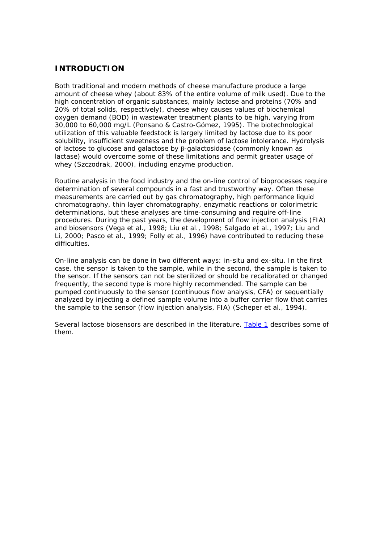## **INTRODUCTION**

Both traditional and modern methods of cheese manufacture produce a large amount of cheese whey (about 83% of the entire volume of milk used). Due to the high concentration of organic substances, mainly lactose and proteins (70% and 20% of total solids, respectively), cheese whey causes values of biochemical oxygen demand (BOD) in wastewater treatment plants to be high, varying from 30,000 to 60,000 mg/L (Ponsano & Castro-Gómez, 1995). The biotechnological utilization of this valuable feedstock is largely limited by lactose due to its poor solubility, insufficient sweetness and the problem of lactose intolerance. Hydrolysis of lactose to glucose and galactose by  $\beta$ -galactosidase (commonly known as lactase) would overcome some of these limitations and permit greater usage of whey (Szczodrak, 2000), including enzyme production.

Routine analysis in the food industry and the on-line control of bioprocesses require determination of several compounds in a fast and trustworthy way. Often these measurements are carried out by gas chromatography, high performance liquid chromatography, thin layer chromatography, enzymatic reactions or colorimetric determinations, but these analyses are time-consuming and require off-line procedures. During the past years, the development of flow injection analysis (FIA) and biosensors (Vega et al., 1998; Liu et al., 1998; Salgado et al., 1997; Liu and Li, 2000; Pasco et al., 1999; Folly et al., 1996) have contributed to reducing these difficulties.

On-line analysis can be done in two different ways: in-situ and ex-situ. In the first case, the sensor is taken to the sample, while in the second, the sample is taken to the sensor. If the sensors can not be sterilized or should be recalibrated or changed frequently, the second type is more highly recommended. The sample can be pumped continuously to the sensor (continuous flow analysis, CFA) or sequentially analyzed by injecting a defined sample volume into a buffer carrier flow that carries the sample to the sensor (flow injection analysis, FIA) (Scheper et al., 1994).

Several lactose biosensors are described in the literature. Table 1 describes some of them.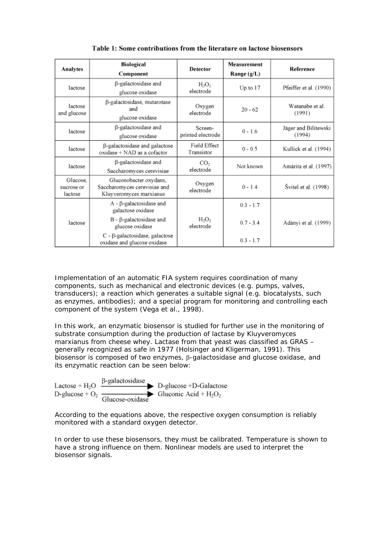| <b>Analytes</b>                   | Biological<br>Component                                                           | <b>Detector</b>              | Measurement<br>Range (g/L) | Reference                      |
|-----------------------------------|-----------------------------------------------------------------------------------|------------------------------|----------------------------|--------------------------------|
| lactose                           | β-galactosidase and<br>glucose oxidase                                            | $H_2O_2$<br>electrode        | Up to $17$                 | Pfeiffer et al. (1990)         |
| lactose<br>and glucose            | β-galactosidase, mutarotase<br>and<br>glucose oxidase                             | Oxygen<br>electrode          | $20 - 62$                  | Watanabe et al.<br>(1991)      |
| lactose                           | β-galactosidase and<br>glucose oxidase                                            | Screen-<br>printed electrode | $0 - 1.6$                  | Jäger and Bilitewski<br>(1994) |
| lactose                           | β-galactosidase and galactose<br>oxidase + NAD as a cofactor                      | Field Effect<br>Transistor   | $0 - 0.5$                  | Kullick et al. (1994)          |
| lactose                           | β-galactosidase and<br>Saccharomyces cerevisiae                                   | CO <sub>2</sub><br>electrode | Not known                  | Amárita et al. (1997)          |
| Glucose.<br>sucrose or<br>lactose | Gluconobacter oxydans,<br>Saccharomyces cerevisiae and<br>Kluyveromyces marxianus | Oxygen<br>electrode          | $0 - 1.4$                  | Švitel et al. (1998)           |
| lactose                           | $A - \beta$ -galactosidase and<br>galactose oxidase                               |                              | $0.3 - 1.7$                |                                |
|                                   | $B - \beta$ -galactosidase and<br>glucose oxidase                                 | $H_2O_2$<br>electrode        | $0.7 - 3.4$                | Adányi et al. (1999)           |
|                                   | $C - \beta$ -galactosidase, galactose<br>oxidase and glucose oxidase              |                              | $0.3 - 1.7$                |                                |

Table 1: Some contributions from the literature on lactose biosensors

Implementation of an automatic FIA system requires coordination of many components, such as mechanical and electronic devices (e.g. pumps, valves, transducers); a reaction which generates a suitable signal (e.g. biocatalysts, such as enzymes, antibodies); and a special program for monitoring and controlling each component of the system (Vega et al., 1998).

In this work, an enzymatic biosensor is studied for further use in the monitoring of substrate consumption during the production of lactase by Kluyveromyces marxianus from cheese whey. Lactase from that yeast was classified as GRAS – generally recognized as safe in 1977 (Holsinger and Kligerman, 1991). This biosensor is composed of two enzymes,  $\beta$ -galactosidase and glucose oxidase, and its enzymatic reaction can be seen below:



According to the equations above, the respective oxygen consumption is reliably monitored with a standard oxygen detector.

In order to use these biosensors, they must be calibrated. Temperature is shown to have a strong influence on them. Nonlinear models are used to interpret the biosensor signals.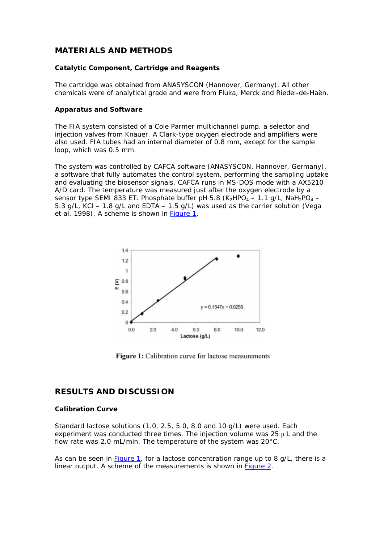## **MATERIALS AND METHODS**

#### **Catalytic Component, Cartridge and Reagents**

The cartridge was obtained from ANASYSCON (Hannover, Germany). All other chemicals were of analytical grade and were from Fluka, Merck and Riedel-de-Haën.

#### **Apparatus and Software**

The FIA system consisted of a Cole Parmer multichannel pump, a selector and injection valves from Knauer. A Clark-type oxygen electrode and amplifiers were also used. FIA tubes had an internal diameter of 0.8 mm, except for the sample loop, which was 0.5 mm.

The system was controlled by CAFCA software (ANASYSCON, Hannover, Germany), a software that fully automates the control system, performing the sampling uptake and evaluating the biosensor signals. CAFCA runs in MS-DOS mode with a AX5210 A/D card. The temperature was measured just after the oxygen electrode by a sensor type SEMI 833 ET. Phosphate buffer pH 5.8 (K<sub>2</sub>HPO<sub>4</sub> - 1.1 g/L, NaH<sub>2</sub>PO<sub>4</sub> -5.3 g/L, KCl – 1.8 g/L and EDTA – 1.5 g/L) was used as the carrier solution (Vega et al, 1998). A scheme is shown in Figure 1.



**Figure 1:** Calibration curve for lactose measurements

## **RESULTS AND DISCUSSION**

### **Calibration Curve**

Standard lactose solutions (1.0, 2.5, 5.0, 8.0 and 10 g/L) were used. Each experiment was conducted three times. The injection volume was  $25 \mu L$  and the flow rate was 2.0 mL/min. The temperature of the system was 20°C.

As can be seen in Figure 1, for a lactose concentration range up to 8 g/L, there is a linear output. A scheme of the measurements is shown in **Figure 2.**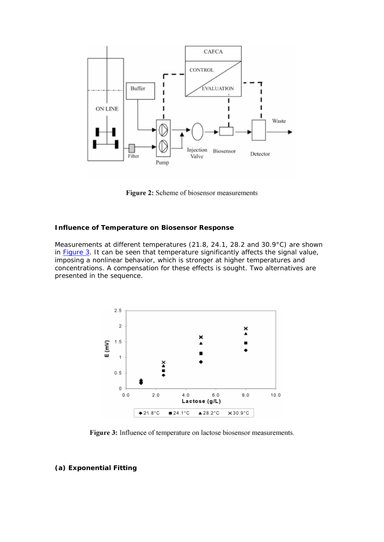

Figure 2: Scheme of biosensor measurements

#### **Influence of Temperature on Biosensor Response**

Measurements at different temperatures (21.8, 24.1, 28.2 and 30.9°C) are shown in **Figure 3.** It can be seen that temperature significantly affects the signal value, imposing a nonlinear behavior, which is stronger at higher temperatures and concentrations. A compensation for these effects is sought. Two alternatives are presented in the sequence.



Figure 3: Influence of temperature on lactose biosensor measurements.

### **(a) Exponential Fitting**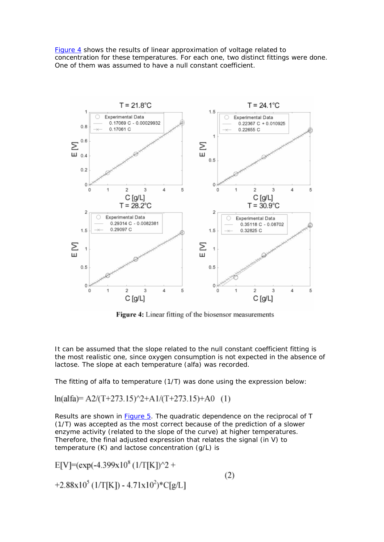Figure 4 shows the results of linear approximation of voltage related to concentration for these temperatures. For each one, two distinct fittings were done. One of them was assumed to have a null constant coefficient.



Figure 4: Linear fitting of the biosensor measurements

It can be assumed that the slope related to the null constant coefficient fitting is the most realistic one, since oxygen consumption is not expected in the absence of lactose. The slope at each temperature (alfa) was recorded.

The fitting of alfa to temperature (1/T) was done using the expression below:

 $ln(alfa) = A2/(T+273.15)^{2} + A1/(T+273.15) + A0$  (1)

Results are shown in **Figure 5**. The quadratic dependence on the reciprocal of T (1/T) was accepted as the most correct because of the prediction of a slower enzyme activity (related to the slope of the curve) at higher temperatures. Therefore, the final adjusted expression that relates the signal (in V) to temperature (K) and lactose concentration (g/L) is

$$
E[V] = (exp(-4.399x108 (1/T[K])2 ++2.88x105 (1/T[K]) - 4.71x102) * C[g/L]
$$
\n(2)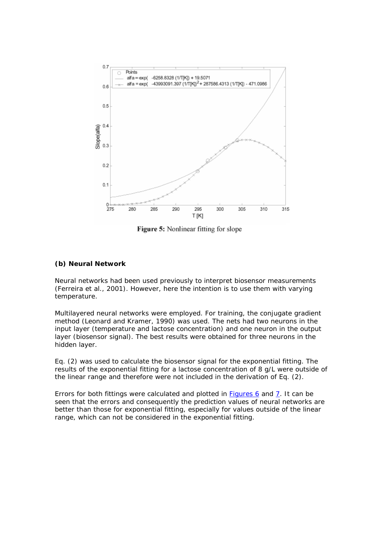

Figure 5: Nonlinear fitting for slope

### **(b) Neural Network**

Neural networks had been used previously to interpret biosensor measurements (Ferreira et al., 2001). However, here the intention is to use them with varying temperature.

Multilayered neural networks were employed. For training, the conjugate gradient method (Leonard and Kramer, 1990) was used. The nets had two neurons in the input layer (temperature and lactose concentration) and one neuron in the output layer (biosensor signal). The best results were obtained for three neurons in the hidden layer.

Eq. (2) was used to calculate the biosensor signal for the exponential fitting. The results of the exponential fitting for a lactose concentration of 8 g/L were outside of the linear range and therefore were not included in the derivation of Eq. (2).

Errors for both fittings were calculated and plotted in Figures 6 and 7. It can be seen that the errors and consequently the prediction values of neural networks are better than those for exponential fitting, especially for values outside of the linear range, which can not be considered in the exponential fitting.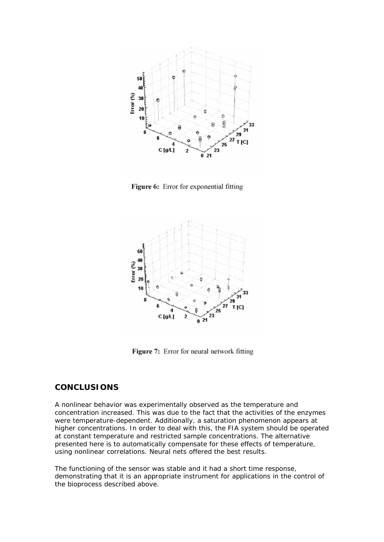

Figure 6: Error for exponential fitting



Figure 7: Error for neural network fitting

## **CONCLUSIONS**

A nonlinear behavior was experimentally observed as the temperature and concentration increased. This was due to the fact that the activities of the enzymes were temperature-dependent. Additionally, a saturation phenomenon appears at higher concentrations. In order to deal with this, the FIA system should be operated at constant temperature and restricted sample concentrations. The alternative presented here is to automatically compensate for these effects of temperature, using nonlinear correlations. Neural nets offered the best results.

The functioning of the sensor was stable and it had a short time response, demonstrating that it is an appropriate instrument for applications in the control of the bioprocess described above.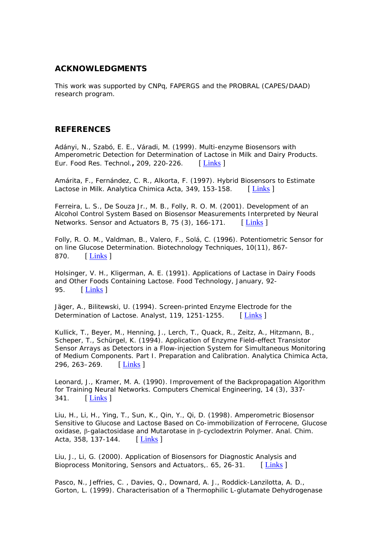## **ACKNOWLEDGMENTS**

This work was supported by CNPq, FAPERGS and the PROBRAL (CAPES/DAAD) research program.

## **REFERENCES**

Adányi, N., Szabó, E. E., Váradi, M. (1999). Multi-enzyme Biosensors with Amperometric Detection for Determination of Lactose in Milk and Dairy Products. Eur. Food Res. Technol.**,** 209, 220-226. [ Links ]

Amárita, F., Fernández, C. R., Alkorta, F. (1997). Hybrid Biosensors to Estimate Lactose in Milk. Analytica Chimica Acta, 349, 153-158. [Links]

Ferreira, L. S., De Souza Jr., M. B., Folly, R. O. M. (2001). Development of an Alcohol Control System Based on Biosensor Measurements Interpreted by Neural Networks. Sensor and Actuators B, 75  $(3)$ , 166-171. [ Links ]

Folly, R. O. M., Valdman, B., Valero, F., Solá, C. (1996). Potentiometric Sensor for on line Glucose Determination. Biotechnology Techniques, 10(11), 867- 870. [ Links ]

Holsinger, V. H., Kligerman, A. E. (1991). Applications of Lactase in Dairy Foods and Other Foods Containing Lactose. Food Technology, January, 92- 95. [ **Links** ]

Jäger, A., Bilitewski, U. (1994). Screen-printed Enzyme Electrode for the Determination of Lactose. Analyst, 119, 1251-1255. [Links ]

Kullick, T., Beyer, M., Henning, J., Lerch, T., Quack, R., Zeitz, A., Hitzmann, B., Scheper, T., Schürgel, K. (1994). Application of Enzyme Field-effect Transistor Sensor Arrays as Detectors in a Flow-injection System for Simultaneous Monitoring of Medium Components. Part I. Preparation and Calibration. Analytica Chimica Acta, 296, 263–269. [Links ]

Leonard, J., Kramer, M. A. (1990). Improvement of the Backpropagation Algorithm for Training Neural Networks. Computers Chemical Engineering, 14 (3), 337- 341. [ Links ]

Liu, H., Li, H., Ying, T., Sun, K., Qin, Y., Qi, D. (1998). Amperometric Biosensor Sensitive to Glucose and Lactose Based on Co-immobilization of Ferrocene, Glucose  $oxidase, \beta$ -galactosidase and Mutarotase in  $\beta$ -cyclodextrin Polymer. Anal. Chim. Acta, 358, 137-144. [Links ]

Liu, J., Li, G. (2000). Application of Biosensors for Diagnostic Analysis and Bioprocess Monitoring, Sensors and Actuators, 65, 26-31. [Links]

Pasco, N., Jeffries, C. , Davies, Q., Downard, A. J., Roddick-Lanzilotta, A. D., Gorton, L. (1999). Characterisation of a Thermophilic L-glutamate Dehydrogenase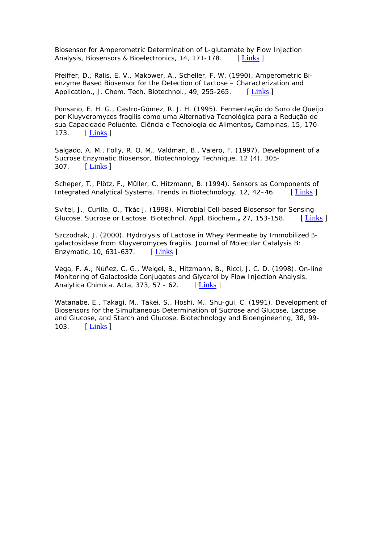Biosensor for Amperometric Determination of L-glutamate by Flow Injection Analysis, Biosensors & Bioelectronics, 14, 171-178. [ Links ]

Pfeiffer, D., Ralis, E. V., Makower, A., Scheller, F. W. (1990). Amperometric Bienzyme Based Biosensor for the Detection of Lactose – Characterization and Application., J. Chem. Tech. Biotechnol., 49, 255-265. [Links]

Ponsano, E. H. G., Castro-Gómez, R. J. H. (1995). Fermentação do Soro de Queijo por Kluyveromyces fragilis como uma Alternativa Tecnológica para a Redução de sua Capacidade Poluente. Ciência e Tecnologia de Alimentos**,** Campinas, 15, 170- 173. [ Links ]

Salgado, A. M., Folly, R. O. M., Valdman, B., Valero, F. (1997). Development of a Sucrose Enzymatic Biosensor, Biotechnology Technique, 12 (4), 305- 307. [ Links ]

Scheper, T., Plötz, F., Müller, C, Hitzmann, B. (1994). Sensors as Components of Integrated Analytical Systems. Trends in Biotechnology, 12, 42–46. [Links]

Svitel, J., Curilla, O., Tkác J. (1998). Microbial Cell-based Biosensor for Sensing Glucose, Sucrose or Lactose. Biotechnol. Appl. Biochem., 27, 153-158. [Links]

Szczodrak, J. (2000). Hydrolysis of Lactose in Whey Permeate by Immobilized  $\beta$ galactosidase from Kluyveromyces fragilis. Journal of Molecular Catalysis B: Enzymatic, 10, 631-637. [ Links ]

Vega, F. A.; Núñez, C. G., Weigel, B., Hitzmann, B., Ricci, J. C. D. (1998). On-line Monitoring of Galactoside Conjugates and Glycerol by Flow Injection Analysis. Analytica Chimica. Acta, 373, 57 - 62.  $\left[\text{Links}\right]$ 

Watanabe, E., Takagi, M., Takei, S., Hoshi, M., Shu-gui, C. (1991). Development of Biosensors for the Simultaneous Determination of Sucrose and Glucose, Lactose and Glucose, and Starch and Glucose. Biotechnology and Bioengineering, 38, 99- 103. [ Links ]